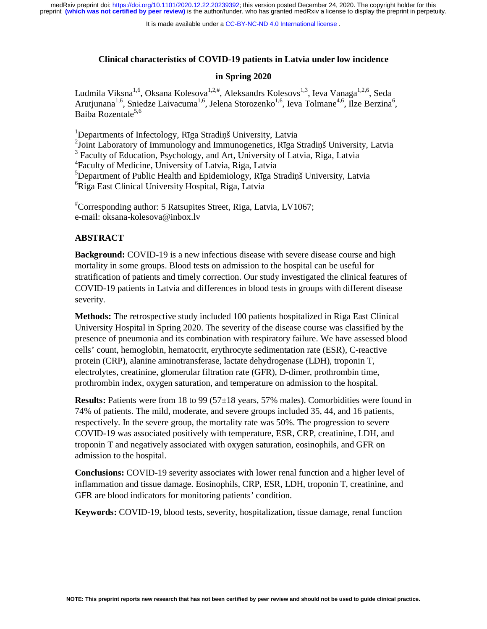It is made available under a [CC-BY-NC-ND 4.0 International license](http://creativecommons.org/licenses/by-nc-nd/4.0/) .

## **Clinical characteristics of COVID-19 patients in Latvia under low incidence**

#### **in Spring 2020**

Ludmila Viksna<sup>1,6</sup>, Oksana Kolesova<sup>1,2,#</sup>, Aleksandrs Kolesovs<sup>1,3</sup>, Ieva Vanaga<sup>1,2,6</sup>, Seda Arutjunana<sup>1,6</sup>, Sniedze Laivacuma<sup>1,6</sup>, Jelena Storozenko<sup>1,6</sup>, Ieva Tolmane<sup>4,6</sup>, Ilze Berzina<sup>6</sup>, Baiba Rozentale<sup>5,6</sup>

<sup>1</sup>Departments of Infectology, Rīga Stradiņš University, Latvia <sup>2</sup> Joint Laboratory of Immunology and Immunogenetics, Rīga Stradiņš University, Latvia <sup>3</sup> Faculty of Education, Psychology, and Art, University of Latvia, Riga, Latvia 4 Faculty of Medicine, University of Latvia, Riga, Latvia <sup>5</sup>Department of Public Health and Epidemiology, Rīga Stradiņš University, Latvia 6 Riga East Clinical University Hospital, Riga, Latvia

# Corresponding author: 5 Ratsupites Street, Riga, Latvia, LV1067; e-mail: oksana-kolesova@inbox.lv

## **ABSTRACT**

**Background:** COVID-19 is a new infectious disease with severe disease course and high mortality in some groups. Blood tests on admission to the hospital can be useful for stratification of patients and timely correction. Our study investigated the clinical features of COVID-19 patients in Latvia and differences in blood tests in groups with different disease severity.

**Methods:** The retrospective study included 100 patients hospitalized in Riga East Clinical University Hospital in Spring 2020. The severity of the disease course was classified by the presence of pneumonia and its combination with respiratory failure. We have assessed blood cells' count, hemoglobin, hematocrit, erythrocyte sedimentation rate (ESR), C-reactive protein (CRP), alanine aminotransferase, lactate dehydrogenase (LDH), troponin T, electrolytes, creatinine, glomerular filtration rate (GFR), D-dimer, prothrombin time, prothrombin index, oxygen saturation, and temperature on admission to the hospital.

**Results:** Patients were from 18 to 99 (57 $\pm$ 18 years, 57% males). Comorbidities were found in 74% of patients. The mild, moderate, and severe groups included 35, 44, and 16 patients, respectively. In the severe group, the mortality rate was 50%. The progression to severe COVID-19 was associated positively with temperature, ESR, CRP, creatinine, LDH, and troponin T and negatively associated with oxygen saturation, eosinophils, and GFR on admission to the hospital.

**Conclusions:** COVID-19 severity associates with lower renal function and a higher level of inflammation and tissue damage. Eosinophils, CRP, ESR, LDH, troponin T, creatinine, and GFR are blood indicators for monitoring patients' condition.

**Keywords:** COVID-19, blood tests, severity, hospitalization**,** tissue damage, renal function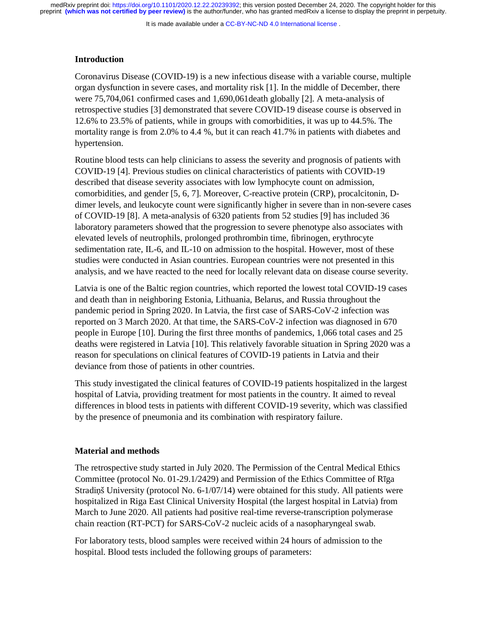It is made available under a [CC-BY-NC-ND 4.0 International license](http://creativecommons.org/licenses/by-nc-nd/4.0/) .

## **Introduction**

Coronavirus Disease (COVID-19) is a new infectious disease with a variable course, multiple organ dysfunction in severe cases, and mortality risk [1]. In the middle of December, there were 75,704,061 confirmed cases and 1,690,061death globally [2]. A meta-analysis of retrospective studies [3] demonstrated that severe COVID-19 disease course is observed in 12.6% to 23.5% of patients, while in groups with comorbidities, it was up to 44.5%. The mortality range is from 2.0% to 4.4 %, but it can reach 41.7% in patients with diabetes and hypertension.

Routine blood tests can help clinicians to assess the severity and prognosis of patients with COVID-19 [4]. Previous studies on clinical characteristics of patients with COVID-19 described that disease severity associates with low lymphocyte count on admission, comorbidities, and gender [5, 6, 7]. Moreover, C-reactive protein (CRP), procalcitonin, Ddimer levels, and leukocyte count were significantly higher in severe than in non-severe cases of COVID-19 [8]. A meta-analysis of 6320 patients from 52 studies [9] has included 36 laboratory parameters showed that the progression to severe phenotype also associates with elevated levels of neutrophils, prolonged prothrombin time, fibrinogen, erythrocyte sedimentation rate, IL-6, and IL-10 on admission to the hospital. However, most of these studies were conducted in Asian countries. European countries were not presented in this analysis, and we have reacted to the need for locally relevant data on disease course severity.

Latvia is one of the Baltic region countries, which reported the lowest total COVID-19 cases and death than in neighboring Estonia, Lithuania, Belarus, and Russia throughout the pandemic period in Spring 2020. In Latvia, the first case of SARS-CoV-2 infection was reported on 3 March 2020. At that time, the SARS-CoV-2 infection was diagnosed in 670 people in Europe [10]. During the first three months of pandemics, 1,066 total cases and 25 deaths were registered in Latvia [10]. This relatively favorable situation in Spring 2020 was a reason for speculations on clinical features of COVID-19 patients in Latvia and their deviance from those of patients in other countries.

This study investigated the clinical features of COVID-19 patients hospitalized in the largest hospital of Latvia, providing treatment for most patients in the country. It aimed to reveal differences in blood tests in patients with different COVID-19 severity, which was classified by the presence of pneumonia and its combination with respiratory failure.

#### **Material and methods**

The retrospective study started in July 2020. The Permission of the Central Medical Ethics Committee (protocol No. 01-29.1/2429) and Permission of the Ethics Committee of Rīga Stradiņš University (protocol No. 6-1/07/14) were obtained for this study. All patients were hospitalized in Riga East Clinical University Hospital (the largest hospital in Latvia) from March to June 2020. All patients had positive real-time reverse-transcription polymerase chain reaction (RT-PCT) for SARS-CoV-2 nucleic acids of a nasopharyngeal swab.

For laboratory tests, blood samples were received within 24 hours of admission to the hospital. Blood tests included the following groups of parameters: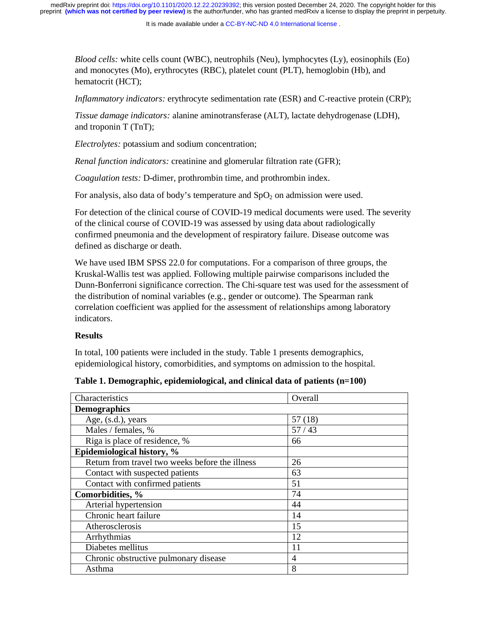It is made available under a [CC-BY-NC-ND 4.0 International license](http://creativecommons.org/licenses/by-nc-nd/4.0/) .

*Blood cells:* white cells count (WBC), neutrophils (Neu), lymphocytes (Ly), eosinophils (Eo) and monocytes (Mo), erythrocytes (RBC), platelet count (PLT), hemoglobin (Hb), and hematocrit (HCT);

*Inflammatory indicators:* erythrocyte sedimentation rate (ESR) and C-reactive protein (CRP);

*Tissue damage indicators:* alanine aminotransferase (ALT), lactate dehydrogenase (LDH), and troponin T (TnT);

*Electrolytes:* potassium and sodium concentration;

*Renal function indicators:* creatinine and glomerular filtration rate (GFR);

*Coagulation tests:* D-dimer, prothrombin time, and prothrombin index.

For analysis, also data of body's temperature and  $SpO<sub>2</sub>$  on admission were used.

For detection of the clinical course of COVID-19 medical documents were used. The severity of the clinical course of COVID-19 was assessed by using data about radiologically confirmed pneumonia and the development of respiratory failure. Disease outcome was defined as discharge or death.

We have used IBM SPSS 22.0 for computations. For a comparison of three groups, the Kruskal-Wallis test was applied. Following multiple pairwise comparisons included the Dunn-Bonferroni significance correction. The Chi-square test was used for the assessment of the distribution of nominal variables (e.g., gender or outcome). The Spearman rank correlation coefficient was applied for the assessment of relationships among laboratory indicators.

## **Results**

In total, 100 patients were included in the study. Table 1 presents demographics, epidemiological history, comorbidities, and symptoms on admission to the hospital.

| Characteristics                                 | Overall |
|-------------------------------------------------|---------|
| <b>Demographics</b>                             |         |
| Age, (s.d.), years                              | 57(18)  |
| Males / females, %                              | 57/43   |
| Riga is place of residence, %                   | 66      |
| Epidemiological history, %                      |         |
| Return from travel two weeks before the illness | 26      |
| Contact with suspected patients                 | 63      |
| Contact with confirmed patients                 | 51      |
| Comorbidities, %                                | 74      |
| Arterial hypertension                           | 44      |
| Chronic heart failure                           | 14      |
| Atherosclerosis                                 | 15      |
| Arrhythmias                                     | 12      |
| Diabetes mellitus                               | 11      |
| Chronic obstructive pulmonary disease           | 4       |
| Asthma                                          | 8       |

### **Table 1. Demographic, epidemiological, and clinical data of patients (n=100)**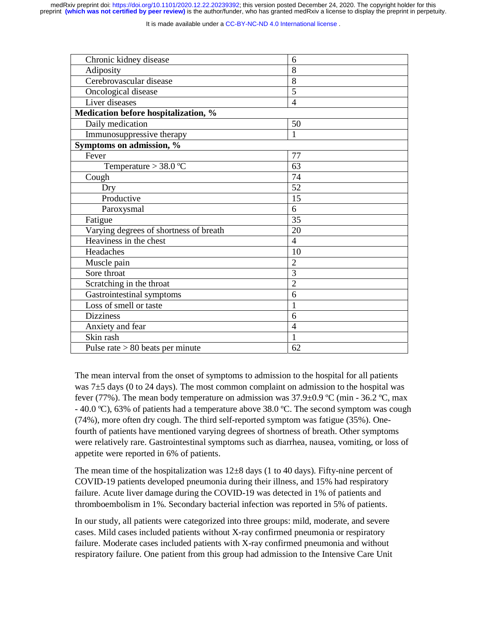It is made available under a CC-BY-NC-ND 4.0 International license.

| Chronic kidney disease                 | 6              |
|----------------------------------------|----------------|
| Adiposity                              | 8              |
| Cerebrovascular disease                | 8              |
| Oncological disease                    | 5              |
| Liver diseases                         | $\overline{4}$ |
| Medication before hospitalization, %   |                |
| Daily medication                       | 50             |
| Immunosuppressive therapy              | 1              |
| Symptoms on admission, %               |                |
| Fever                                  | 77             |
| Temperature $>$ 38.0 °C                | 63             |
| Cough                                  | 74             |
| Dry                                    | 52             |
| Productive                             | 15             |
| Paroxysmal                             | 6              |
| Fatigue                                | 35             |
| Varying degrees of shortness of breath | 20             |
| Heaviness in the chest                 | $\overline{4}$ |
| Headaches                              | 10             |
| Muscle pain                            | $\overline{2}$ |
| Sore throat                            | 3              |
| Scratching in the throat               | $\overline{2}$ |
| Gastrointestinal symptoms              | 6              |
| Loss of smell or taste                 | 1              |
| <b>Dizziness</b>                       | 6              |
| Anxiety and fear                       | $\overline{4}$ |
| Skin rash                              | 1              |
| Pulse rate $> 80$ beats per minute     | 62             |

The mean interval from the onset of symptoms to admission to the hospital for all patients was  $7±5$  days (0 to 24 days). The most common complaint on admission to the hospital was fever (77%). The mean body temperature on admission was  $37.9\pm0.9$  °C (min - 36.2 °C, max  $-40.0 \degree C$ ), 63% of patients had a temperature above 38.0  $\degree C$ . The second symptom was cough (74%), more often dry cough. The third self-reported symptom was fatigue (35%). Onefourth of patients have mentioned varying degrees of shortness of breath. Other symptoms were relatively rare. Gastrointestinal symptoms such as diarrhea, nausea, vomiting, or loss of appetite were reported in 6% of patients.

The mean time of the hospitalization was  $12\pm 8$  days (1 to 40 days). Fifty-nine percent of COVID-19 patients developed pneumonia during their illness, and 15% had respiratory failure. Acute liver damage during the COVID-19 was detected in 1% of patients and thromboembolism in 1%. Secondary bacterial infection was reported in 5% of patients.

In our study, all patients were categorized into three groups: mild, moderate, and severe cases. Mild cases included patients without X-ray confirmed pneumonia or respiratory failure. Moderate cases included patients with X-ray confirmed pneumonia and without respiratory failure. One patient from this group had admission to the Intensive Care Unit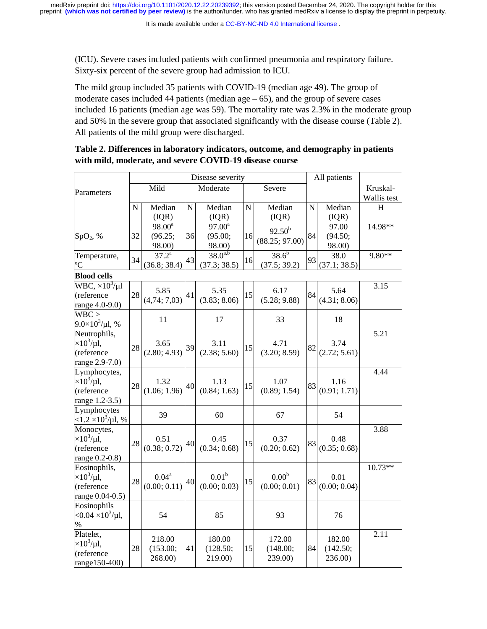(ICU). Severe cases included patients with confirmed pneumonia and respiratory failure. Sixty-six percent of the severe group had admission to ICU.

The mild group included 35 patients with COVID-19 (median age 49). The group of moderate cases included 44 patients (median  $age - 65$ ), and the group of severe cases included 16 patients (median age was 59). The mortality rate was 2.3% in the moderate group and 50% in the severe group that associated significantly with the disease course (Table 2). All patients of the mild group were discharged.

|                                                                               |             |                                |                    | Disease severity                  |             |                                   |           | All patients                  |                                                                             |
|-------------------------------------------------------------------------------|-------------|--------------------------------|--------------------|-----------------------------------|-------------|-----------------------------------|-----------|-------------------------------|-----------------------------------------------------------------------------|
| Parameters                                                                    |             | Mild                           | Moderate<br>Severe |                                   |             |                                   |           |                               | Kruskal-<br>Wallis test                                                     |
|                                                                               | $\mathbf N$ | Median<br>(IQR)                | $\mathbf N$        | Median<br>(IQR)                   | $\mathbf N$ | Median<br>(IQR)                   | ${\bf N}$ | Median<br>(IQR)               | H<br>14.98**<br>9.80**<br>3.15<br>5.21<br>4.44<br>3.88<br>$10.73**$<br>2.11 |
| SpO <sub>2</sub> , %                                                          | 32          | $98.00^a$<br>(96.25;<br>98.00) | 36                 | $97.00^a$<br>(95.00;<br>98.00)    | 16          | $92.50^{b}$<br>(88.25; 97.00)     | 84        | 97.00<br>(94.50;<br>98.00)    |                                                                             |
| Temperature,<br>°C                                                            | 34          | $37.2^{\rm a}$<br>(36.8; 38.4) | 43                 | $38.0^{a,b}$<br>(37.3; 38.5)      | 16          | $38.6^{b}$<br>(37.5; 39.2)        | 93        | 38.0<br>(37.1; 38.5)          |                                                                             |
| <b>Blood cells</b>                                                            |             |                                |                    |                                   |             |                                   |           |                               |                                                                             |
| $\overline{\text{WBC}}$ , $\times 10^3/\mu l$<br>(reference<br>range 4.0-9.0) | 28          | 5.85<br>(4,74; 7,03)           | 41                 | 5.35<br>(3.83; 8.06)              | 15          | 6.17<br>(5.28; 9.88)              | 84        | 5.64<br>(4.31; 8.06)          |                                                                             |
| WBC ><br>$9.0\times10^3/\mu$ l, %                                             |             | 11                             |                    | 17                                |             | 33                                |           | 18                            |                                                                             |
| Neutrophils,<br>$\times 10^3/\mu$ l,<br>(reference<br>range 2.9-7.0)          | 28          | 3.65<br>(2.80; 4.93)           | 39                 | 3.11<br>(2.38; 5.60)              | 15          | 4.71<br>(3.20; 8.59)              | 82        | 3.74<br>(2.72; 5.61)          |                                                                             |
| Lymphocytes,<br>$\times 10^3/\mu$ l,<br>(reference<br>range 1.2-3.5)          | 28          | 1.32<br>(1.06; 1.96)           | 40                 | 1.13<br>(0.84; 1.63)              | 15          | 1.07<br>(0.89; 1.54)              | 83        | 1.16<br>(0.91; 1.71)          |                                                                             |
| Lymphocytes<br>$<$ 1.2 $\times$ 10 <sup>3</sup> /µ1, %                        |             | 39                             |                    | 60                                |             | 67                                |           | 54                            |                                                                             |
| Monocytes,<br>$\times 10^3/\mu$ l,<br>(reference<br>range 0.2-0.8)            | 28          | 0.51<br>(0.38; 0.72)           | 40                 | 0.45<br>(0.34; 0.68)              | 15          | 0.37<br>(0.20; 0.62)              | 83        | 0.48<br>(0.35; 0.68)          |                                                                             |
| Eosinophils,<br>$\times 10^3/\mu$ l,<br>(reference<br>range 0.04-0.5)         | 28          | $0.04^{\rm a}$<br>(0.00; 0.11) | 40                 | 0.01 <sup>b</sup><br>(0.00; 0.03) | 15          | 0.00 <sup>b</sup><br>(0.00; 0.01) | 83        | 0.01<br>(0.00; 0.04)          |                                                                             |
| Eosinophils<br>$<$ 0.04 $\times$ 10 <sup>3</sup> /µl,<br>%                    |             | 54                             |                    | 85                                |             | 93                                |           | 76                            |                                                                             |
| Platelet,<br>$\times 10^3/\mu$ l,<br>(reference<br>range150-400)              | 28          | 218.00<br>(153.00;<br>268.00)  | 41                 | 180.00<br>(128.50;<br>219.00)     | 15          | 172.00<br>(148.00;<br>239.00)     | 84        | 182.00<br>(142.50;<br>236.00) |                                                                             |

| Table 2. Differences in laboratory indicators, outcome, and demography in patients |
|------------------------------------------------------------------------------------|
| with mild, moderate, and severe COVID-19 disease course                            |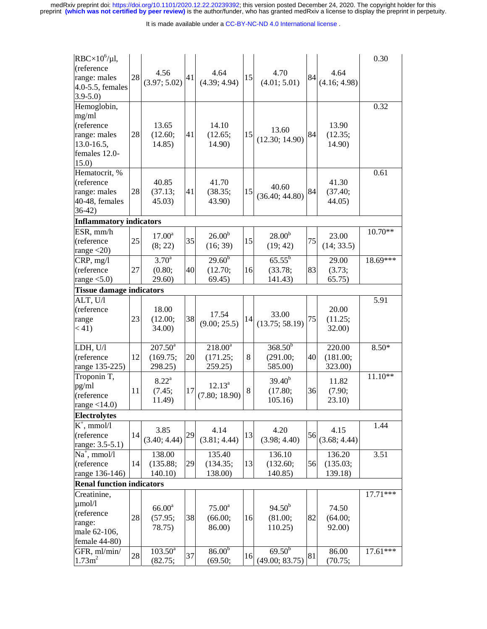medRxiv preprint doi: [https://doi.org/10.1101/2020.12.22.20239392;](https://doi.org/10.1101/2020.12.22.20239392) this version posted December 24, 2020. The copyright holder for this<br>preprint (which was not certified by peer review) is the author/funder, who has grante

#### It is made available under a [CC-BY-NC-ND 4.0 International license](http://creativecommons.org/licenses/by-nc-nd/4.0/) .

| $RBC \times 10^6/\mu$ l,<br>(reference<br>range: males<br>4.0-5.5, females<br>$3.9 - 5.0$       | $28\,$ | 4.56<br>(3.97; 5.02)                    | 41 | 4.64<br>(4.39; 4.94)                 | 15 | 4.70<br>(4.01; 5.01)                   | 84 | 4.64<br>(4.16; 4.98)          | 0.30       |
|-------------------------------------------------------------------------------------------------|--------|-----------------------------------------|----|--------------------------------------|----|----------------------------------------|----|-------------------------------|------------|
| Hemoglobin,<br>mg/ml<br>(reference<br>range: males<br>$13.0 - 16.5$ ,<br>females 12.0-<br>15.0) | 28     | 13.65<br>(12.60;<br>14.85)              | 41 | 14.10<br>(12.65;<br>14.90)           | 15 | 13.60<br>(12.30; 14.90)                | 84 | 13.90<br>(12.35;<br>14.90)    | 0.32       |
| Hematocrit, %<br>(reference<br>range: males<br>40-48, females<br>$36-42)$                       | 28     | 40.85<br>(37.13;<br>45.03)              | 41 | 41.70<br>(38.35;<br>43.90)           | 15 | 40.60<br>(36.40; 44.80)                | 84 | 41.30<br>(37.40;<br>44.05)    | 0.61       |
| <b>Inflammatory indicators</b>                                                                  |        |                                         |    |                                      |    |                                        |    |                               |            |
| ESR, mm/h<br>(reference<br>range $<$ 20)                                                        | 25     | $17.00^{\rm a}$<br>(8; 22)              | 35 | $26.00^{b}$<br>(16; 39)              | 15 | $28.00^{b}$<br>(19; 42)                | 75 | 23.00<br>(14; 33.5)           | $10.70**$  |
| CRP, mg/l<br>(reference<br>range $<$ 5.0)                                                       | 27     | $3.70^{\rm a}$<br>(0.80;<br>29.60)      | 40 | $29.60^{b}$<br>(12.70;<br>69.45)     | 16 | $65.55^{\rm b}$<br>(33.78;<br>141.43)  | 83 | 29.00<br>(3.73;<br>65.75)     | $18.69***$ |
| <b>Tissue damage indicators</b>                                                                 |        |                                         |    |                                      |    |                                        |    |                               |            |
| ALT, U/l                                                                                        |        |                                         |    |                                      |    |                                        |    |                               | 5.91       |
| (reference<br>range<br>(41)                                                                     | 23     | 18.00<br>(12.00;<br>34.00)              | 38 | 17.54<br>(9.00; 25.5)                | 14 | 33.00<br>(13.75; 58.19)                | 75 | 20.00<br>(11.25;<br>32.00)    |            |
| LDH, U/l<br>(reference<br>range 135-225)                                                        | 12     | $207.50^{\circ}$<br>(169.75;<br>298.25) | 20 | $218.00^a$<br>(171.25;<br>259.25     | 8  | $368.50^{b}$<br>(291.00;<br>585.00)    | 40 | 220.00<br>(181.00;<br>323.00) | $8.50*$    |
| Troponin T,<br>pg/ml<br>(reference<br>range $<$ 14.0)                                           | 11     | $8.22^{\rm a}$<br>(7.45;<br>11.49)      | 17 | $12.13^a$<br>(7.80; 18.90)           | 8  | $39.40^{b}$<br>(17.80;<br>105.16       | 36 | 11.82<br>(7.90;<br>23.10)     | $11.10**$  |
| <b>Electrolytes</b>                                                                             |        |                                         |    |                                      |    |                                        |    |                               |            |
| $K^+$ , mmol/l<br>(reference<br>range: 3.5-5.1)                                                 | 14     | 3.85<br>(3.40; 4.44)                    | 29 | 4.14<br>(3.81; 4.44)                 | 13 | 4.20<br>(3.98; 4.40)                   | 56 | 4.15<br>(3.68; 4.44)          | 1.44       |
| $Na^+$ , mmol/l<br>(reference<br>range 136-146)                                                 | 14     | 138.00<br>(135.88;<br>140.10            | 29 | 135.40<br>(134.35;<br>138.00)        | 13 | 136.10<br>(132.60;<br>140.85)          | 56 | 136.20<br>(135.03;<br>139.18) | 3.51       |
| <b>Renal function indicators</b>                                                                |        |                                         |    |                                      |    |                                        |    |                               |            |
| Creatinine,                                                                                     |        |                                         |    |                                      |    |                                        |    |                               | $17.71***$ |
| $\mu$ mol/l<br>(reference<br>range:<br>male 62-106,<br>female 44-80)                            | 28     | $66.00^{\rm a}$<br>(57.95;<br>78.75)    | 38 | $75.00^{\circ}$<br>(66.00;<br>86.00) | 16 | $94.50^{b}$<br>(81.00;<br>110.25       | 82 | 74.50<br>(64.00;<br>92.00)    |            |
| GFR, ml/min/<br>1.73m <sup>2</sup>                                                              | 28     | $103.50^a$<br>(82.75;                   | 37 | 86.00 <sup>b</sup><br>(69.50;        | 16 | $69.\overline{50^b}$<br>(49.00; 83.75) | 81 | 86.00<br>(70.75;              | $17.61***$ |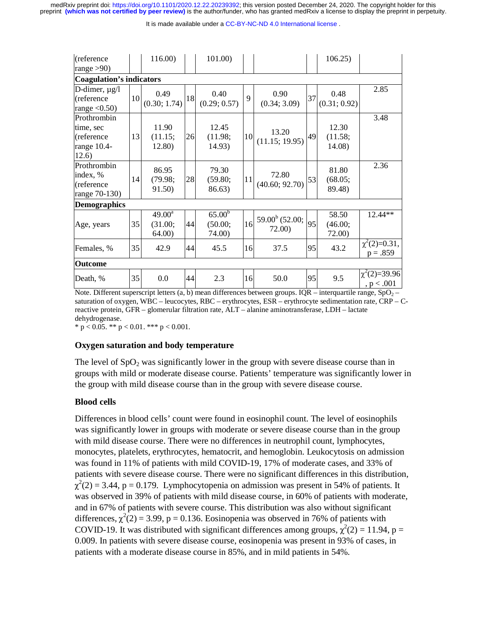It is made available under a [CC-BY-NC-ND 4.0 International license](http://creativecommons.org/licenses/by-nc-nd/4.0/) .

| (reference                                                     |    | 116.00)                             |    | 101.00)                                 |    |                            |    | 106.25                     |                                  |
|----------------------------------------------------------------|----|-------------------------------------|----|-----------------------------------------|----|----------------------------|----|----------------------------|----------------------------------|
| range $>90$ )                                                  |    |                                     |    |                                         |    |                            |    |                            |                                  |
| <b>Coagulation's indicators</b>                                |    |                                     |    |                                         |    |                            |    |                            |                                  |
| D-dimer, $\mu$ g/l<br>(reference<br>range $<$ 0.50)            | 10 | 0.49<br>(0.30; 1.74)                | 18 | 0.40<br>(0.29; 0.57)                    | 9  | 0.90<br>(0.34; 3.09)       | 37 | 0.48<br>(0.31; 0.92)       | 2.85                             |
| Prothrombin<br>time, sec<br>(reference<br>range 10.4-<br>12.6) | 13 | 11.90<br>(11.15;<br>12.80)          | 26 | 12.45<br>(11.98;<br>14.93)              | 10 | 13.20<br>(11.15; 19.95)    | 49 | 12.30<br>(11.58;<br>14.08) | 3.48                             |
| Prothrombin<br>index, %<br>(reference<br>range 70-130)         | 14 | 86.95<br>(79.98;<br>91.50)          | 28 | 79.30<br>(59.80;<br>86.63)              | 11 | 72.80<br>(40.60; 92.70)    | 53 | 81.80<br>(68.05;<br>89.48) | 2.36                             |
| <b>Demographics</b>                                            |    |                                     |    |                                         |    |                            |    |                            |                                  |
| Age, years                                                     | 35 | $49.00^{\rm a}$<br>(31.00;<br>64.00 | 44 | 65.00 <sup>b</sup><br>(50.00;<br>74.00) | 16 | $59.00b$ (52.00;<br>72.00) | 95 | 58.50<br>(46.00;<br>72.00) | 12.44**                          |
| Females, %                                                     | 35 | 42.9                                | 44 | 45.5                                    | 16 | 37.5                       | 95 | 43.2                       | $\chi^2(2)=0.31$ ,<br>$p = .859$ |
| <b>Outcome</b>                                                 |    |                                     |    |                                         |    |                            |    |                            |                                  |
| Death, %                                                       | 35 | 0.0                                 | 44 | 2.3                                     | 16 | 50.0                       | 95 | 9.5                        | $\chi^2(2)=39.96$<br>, $p<.001$  |

Note. Different superscript letters (a, b) mean differences between groups. IQR – interquartile range,  $SpO<sub>2</sub>$  – saturation of oxygen, WBC – leucocytes, RBC – erythrocytes, ESR – erythrocyte sedimentation rate, CRP – Creactive protein, GFR – glomerular filtration rate, ALT – alanine aminotransferase, LDH – lactate dehydrogenase.

\*  $p < 0.05$ . \*\*  $p < 0.01$ . \*\*\*  $p < 0.001$ .

#### **Oxygen saturation and body temperature**

The level of  $SpO<sub>2</sub>$  was significantly lower in the group with severe disease course than in groups with mild or moderate disease course. Patients' temperature was significantly lower in the group with mild disease course than in the group with severe disease course.

## **Blood cells**

Differences in blood cells' count were found in eosinophil count. The level of eosinophils was significantly lower in groups with moderate or severe disease course than in the group with mild disease course. There were no differences in neutrophil count, lymphocytes, monocytes, platelets, erythrocytes, hematocrit, and hemoglobin. Leukocytosis on admission was found in 11% of patients with mild COVID-19, 17% of moderate cases, and 33% of patients with severe disease course. There were no significant differences in this distribution, χ  $2<sup>2</sup>(2) = 3.44$ , p = 0.179. Lymphocytopenia on admission was present in 54% of patients. It was observed in 39% of patients with mild disease course, in 60% of patients with moderate, and in 67% of patients with severe course. This distribution was also without significant differences,  $\chi^2(2) = 3.99$ , p = 0.136. Eosinopenia was observed in 76% of patients with COVID-19. It was distributed with significant differences among groups,  $\chi^2(2) = 11.94$ , p = 0.000 M 0.009. In patients with severe disease course, eosinopenia was present in 93% of cases, in patients with a moderate disease course in 85%, and in mild patients in 54%.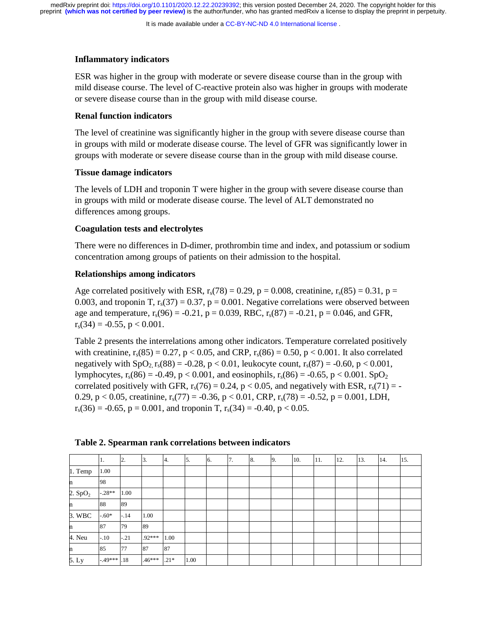It is made available under a [CC-BY-NC-ND 4.0 International license](http://creativecommons.org/licenses/by-nc-nd/4.0/) .

## **Inflammatory indicators**

ESR was higher in the group with moderate or severe disease course than in the group with mild disease course. The level of C-reactive protein also was higher in groups with moderate or severe disease course than in the group with mild disease course.

# **Renal function indicators**

The level of creatinine was significantly higher in the group with severe disease course than in groups with mild or moderate disease course. The level of GFR was significantly lower in groups with moderate or severe disease course than in the group with mild disease course.

# **Tissue damage indicators**

The levels of LDH and troponin T were higher in the group with severe disease course than in groups with mild or moderate disease course. The level of ALT demonstrated no differences among groups.

# **Coagulation tests and electrolytes**

There were no differences in D-dimer, prothrombin time and index, and potassium or sodium concentration among groups of patients on their admission to the hospital.

# **Relationships among indicators**

Age correlated positively with ESR,  $r_s(78) = 0.29$ ,  $p = 0.008$ , creatinine,  $r_s(85) = 0.31$ ,  $p =$ 0.003, and troponin T,  $r_s(37) = 0.37$ ,  $p = 0.001$ . Negative correlations were observed between age and temperature,  $r_s(96) = -0.21$ ,  $p = 0.039$ , RBC,  $r_s(87) = -0.21$ ,  $p = 0.046$ , and GFR,  $r_s(34) = -0.55$ ,  $p < 0.001$ .

Table 2 presents the interrelations among other indicators. Temperature correlated positively with creatinine,  $r_s(85) = 0.27$ ,  $p < 0.05$ , and CRP,  $r_s(86) = 0.50$ ,  $p < 0.001$ . It also correlated negatively with  $SpO<sub>2</sub> r<sub>s</sub>(88) = -0.28$ , p < 0.01, leukocyte count, r<sub>s</sub>(87) = -0.60, p < 0.001, lymphocytes,  $r_s(86) = -0.49$ ,  $p < 0.001$ , and eosinophils,  $r_s(86) = -0.65$ ,  $p < 0.001$ . SpO<sub>2</sub> correlated positively with GFR,  $r_s(76) = 0.24$ , p < 0.05, and negatively with ESR,  $r_s(71) = -$ 0.29, p < 0.05, creatinine,  $r_s(77) = -0.36$ , p < 0.01, CRP,  $r_s(78) = -0.52$ , p = 0.001, LDH,  $r_s(36) = -0.65$ ,  $p = 0.001$ , and troponin T,  $r_s(34) = -0.40$ ,  $p < 0.05$ .

|           | Π.           | 2.     | 3.       | 4.     | 5.   | <sup>6.</sup> | 7. | 8. | 9. | 10. | 11. | 12. | 13. | 14. | 15. |
|-----------|--------------|--------|----------|--------|------|---------------|----|----|----|-----|-----|-----|-----|-----|-----|
| $1.$ Temp | 1.00         |        |          |        |      |               |    |    |    |     |     |     |     |     |     |
| n         | 98           |        |          |        |      |               |    |    |    |     |     |     |     |     |     |
| 2. $SpO2$ | $-.28**$     | 1.00   |          |        |      |               |    |    |    |     |     |     |     |     |     |
| 'n        | 88           | 89     |          |        |      |               |    |    |    |     |     |     |     |     |     |
| 3. WBC    | $-.60*$      | $-.14$ | 1.00     |        |      |               |    |    |    |     |     |     |     |     |     |
| n         | 87           | 79     | 89       |        |      |               |    |    |    |     |     |     |     |     |     |
| 4. Neu    | $-.10$       | $-.21$ | $.92***$ | 1.00   |      |               |    |    |    |     |     |     |     |     |     |
| n         | 85           | 77     | 87       | 87     |      |               |    |    |    |     |     |     |     |     |     |
| 5. Ly     | $-49***$ .18 |        | $.46***$ | $.21*$ | 1.00 |               |    |    |    |     |     |     |     |     |     |

## **Table 2. Spearman rank correlations between indicators**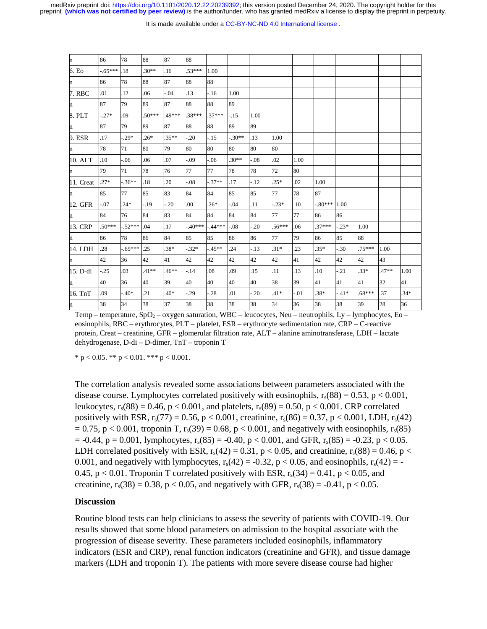#### It is made available under a CC-BY-NC-ND 4.0 International license.

| n         | 86       | 78       | 88       | 87      | 88       |          |         |         |          |        |           |         |          |         |        |
|-----------|----------|----------|----------|---------|----------|----------|---------|---------|----------|--------|-----------|---------|----------|---------|--------|
| 6. Eo     | $-65***$ | .18      | $.30**$  | .16     | $.53***$ | 1.00     |         |         |          |        |           |         |          |         |        |
|           | 86       | 78       | 88       | 87      | 88       | 88       |         |         |          |        |           |         |          |         |        |
| 7. RBC    | .01      | .12      | .06      | $-.04$  | .13      | $-16$    | 1.00    |         |          |        |           |         |          |         |        |
| n         | 87       | 79       | 89       | 87      | 88       | 88       | 89      |         |          |        |           |         |          |         |        |
| 8. PLT    | $.27*$   | .09      | $.50***$ | .49***  | .38***   | $.37***$ | $-.15$  | 1.00    |          |        |           |         |          |         |        |
| n.        | 87       | 79       | 89       | 87      | 88       | 88       | 89      | 89      |          |        |           |         |          |         |        |
| 9. ESR    | .17      | $-0.29*$ | $.26*$   | $.35**$ | $-0.20$  | $-.15$   | $-30**$ | .13     | 1.00     |        |           |         |          |         |        |
| n         | 78       | 71       | 80       | 79      | 80       | 80       | 80      | 80      | 80       |        |           |         |          |         |        |
| 10. ALT   | .10      | $-0.06$  | .06      | .07     | $-0.09$  | $-0.06$  | $.30**$ | $-0.08$ | .02      | 1.00   |           |         |          |         |        |
|           | 79       | 71       | 78       | 76      | 77       | 77       | 78      | 78      | 72       | 80     |           |         |          |         |        |
| 11. Creat | $.27*$   | $-.36**$ | .18      | .20     | $-0.08$  | $-.37**$ | .17     | $-12$   | $.25*$   | .02    | 1.00      |         |          |         |        |
| n         | 85       | 77       | 85       | 83      | 84       | 84       | 85      | 85      | 77       | 78     | 87        |         |          |         |        |
| 12. GFR   | $-0.07$  | $.24*$   | $-.19$   | $-.20$  | .00      | $.26*$   | $-.04$  | .11     | $-0.23*$ | .10    | $-.80***$ | 1.00    |          |         |        |
|           | 84       | 76       | 84       | 83      | 84       | 84       | 84      | 84      | 77       | 77     | 86        | 86      |          |         |        |
| 13. CRP   | $.50***$ | $-52***$ | .04      | .17     | $-40***$ | $-44***$ | $-.08$  | $-20$   | $.56***$ | .06    | $.37***$  | $-.23*$ | 1.00     |         |        |
| n         | 86       | 78       | 86       | 84      | 85       | 85       | 86      | 86      | 77       | 79     | 86        | 85      | 88       |         |        |
| 14. LDH   | .28      | $-65***$ | .25      | $.38*$  | $-32*$   | $-45**$  | .24     | $-13$   | $.31*$   | .23    | $.35*$    | $-.30$  | $.75***$ | 1.00    |        |
| n         | 42       | 36       | 42       | 41      | 42       | 42       | 42      | 42      | 42       | 41     | 42        | 42      | 42       | 43      |        |
| 15. D-di  | $-25$    | .03      | $.41**$  | $.46**$ | $-.14$   | .08      | .09     | .15     | .11      | .13    | .10       | $-.21$  | $.33*$   | $.47**$ | 1.00   |
|           | 40       | 36       | 40       | 39      | 40       | 40       | 40      | 40      | 38       | 39     | 41        | 41      | 41       | 32      | 41     |
| 16. TnT   | .09      | $-.40*$  | .21      | $.40*$  | $-29$    | $-28$    | .01     | $-20$   | $.41*$   | $-.01$ | $.38*$    | $-41*$  | $.68***$ | 37      | $.34*$ |
|           |          |          |          |         |          |          |         |         |          |        |           |         |          |         |        |

Temp – temperature, SpO<sub>2</sub> – oxygen saturation, WBC – leucocytes, Neu – neutrophils, Ly – lymphocytes, Eo – eosinophils, RBC – erythrocytes, PLT – platelet, ESR – erythrocyte sedimentation rate, CRP – C-reactive protein, Creat – creatinine, GFR – glomerular filtration rate, ALT – alanine aminotransferase, LDH – lactate dehydrogenase, D-di – D-dimer, TnT – troponin T

n 38 34 38 37 38 38 38 38 34 36 38 38 39 28 36

\* p < 0.05. \*\* p < 0.01. \*\*\* p < 0.001.

The correlation analysis revealed some associations between parameters associated with the disease course. Lymphocytes correlated positively with eosinophils,  $r_s(88) = 0.53$ , p < 0.001, leukocytes,  $r_s(88) = 0.46$ ,  $p < 0.001$ , and platelets,  $r_s(89) = 0.50$ ,  $p < 0.001$ . CRP correlated positively with ESR,  $r_s(77) = 0.56$ , p < 0.001, creatinine,  $r_s(86) = 0.37$ , p < 0.001, LDH,  $r_s(42)$  $= 0.75$ , p < 0.001, troponin T, r<sub>s</sub>(39) = 0.68, p < 0.001, and negatively with eosinophils, r<sub>s</sub>(85)  $= -0.44$ ,  $p = 0.001$ , lymphocytes,  $r_s(85) = -0.40$ ,  $p < 0.001$ , and GFR,  $r_s(85) = -0.23$ ,  $p < 0.05$ . LDH correlated positively with ESR,  $r_s(42) = 0.31$ ,  $p < 0.05$ , and creatinine,  $r_s(88) = 0.46$ ,  $p <$ 0.001, and negatively with lymphocytes,  $r_s(42) = -0.32$ ,  $p < 0.05$ , and eosinophils,  $r_s(42) = -0.32$ 0.45, p < 0.01. Troponin T correlated positively with ESR,  $r_s(34) = 0.41$ , p < 0.05, and creatinine,  $r_s(38) = 0.38$ ,  $p < 0.05$ , and negatively with GFR,  $r_s(38) = -0.41$ ,  $p < 0.05$ .

# **Discussion**

Routine blood tests can help clinicians to assess the severity of patients with COVID-19. Our results showed that some blood parameters on admission to the hospital associate with the progression of disease severity. These parameters included eosinophils, inflammatory indicators (ESR and CRP), renal function indicators (creatinine and GFR), and tissue damage markers (LDH and troponin T). The patients with more severe disease course had higher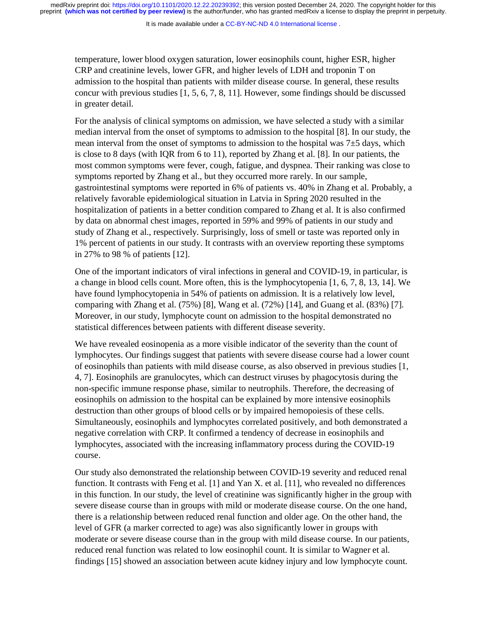It is made available under a [CC-BY-NC-ND 4.0 International license](http://creativecommons.org/licenses/by-nc-nd/4.0/) .

temperature, lower blood oxygen saturation, lower eosinophils count, higher ESR, higher CRP and creatinine levels, lower GFR, and higher levels of LDH and troponin T on admission to the hospital than patients with milder disease course. In general, these results concur with previous studies [1, 5, 6, 7, 8, 11]. However, some findings should be discussed in greater detail.

For the analysis of clinical symptoms on admission, we have selected a study with a similar median interval from the onset of symptoms to admission to the hospital [8]. In our study, the mean interval from the onset of symptoms to admission to the hospital was  $7\pm5$  days, which is close to 8 days (with IQR from 6 to 11), reported by Zhang et al. [8]. In our patients, the most common symptoms were fever, cough, fatigue, and dyspnea. Their ranking was close to symptoms reported by Zhang et al., but they occurred more rarely. In our sample, gastrointestinal symptoms were reported in 6% of patients vs. 40% in Zhang et al. Probably, a relatively favorable epidemiological situation in Latvia in Spring 2020 resulted in the hospitalization of patients in a better condition compared to Zhang et al. It is also confirmed by data on abnormal chest images, reported in 59% and 99% of patients in our study and study of Zhang et al., respectively. Surprisingly, loss of smell or taste was reported only in 1% percent of patients in our study. It contrasts with an overview reporting these symptoms in 27% to 98 % of patients [12].

One of the important indicators of viral infections in general and COVID-19, in particular, is a change in blood cells count. More often, this is the lymphocytopenia [1, 6, 7, 8, 13, 14]. We have found lymphocytopenia in 54% of patients on admission. It is a relatively low level, comparing with Zhang et al. (75%) [8], Wang et al. (72%) [14], and Guang et al. (83%) [7]. Moreover, in our study, lymphocyte count on admission to the hospital demonstrated no statistical differences between patients with different disease severity.

We have revealed eosinopenia as a more visible indicator of the severity than the count of lymphocytes. Our findings suggest that patients with severe disease course had a lower count of eosinophils than patients with mild disease course, as also observed in previous studies [1, 4, 7]. Eosinophils are granulocytes, which can destruct viruses by phagocytosis during the non-specific immune response phase, similar to neutrophils. Therefore, the decreasing of eosinophils on admission to the hospital can be explained by more intensive eosinophils destruction than other groups of blood cells or by impaired hemopoiesis of these cells. Simultaneously, eosinophils and lymphocytes correlated positively, and both demonstrated a negative correlation with CRP. It confirmed a tendency of decrease in eosinophils and lymphocytes, associated with the increasing inflammatory process during the COVID-19 course.

Our study also demonstrated the relationship between COVID-19 severity and reduced renal function. It contrasts with Feng et al. [1] and Yan X. et al. [11], who revealed no differences in this function. In our study, the level of creatinine was significantly higher in the group with severe disease course than in groups with mild or moderate disease course. On the one hand, there is a relationship between reduced renal function and older age. On the other hand, the level of GFR (a marker corrected to age) was also significantly lower in groups with moderate or severe disease course than in the group with mild disease course. In our patients, reduced renal function was related to low eosinophil count. It is similar to Wagner et al. findings [15] showed an association between acute kidney injury and low lymphocyte count.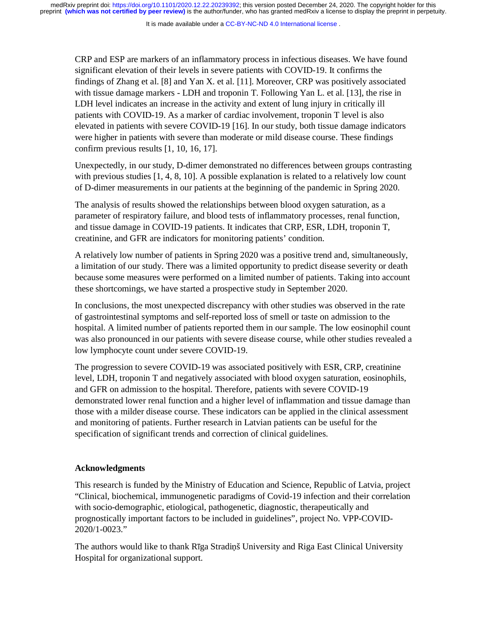It is made available under a [CC-BY-NC-ND 4.0 International license](http://creativecommons.org/licenses/by-nc-nd/4.0/) .

CRP and ESP are markers of an inflammatory process in infectious diseases. We have found significant elevation of their levels in severe patients with COVID-19. It confirms the findings of Zhang et al. [8] and Yan X. et al. [11]. Moreover, CRP was positively associated with tissue damage markers - LDH and troponin T. Following Yan L. et al. [13], the rise in LDH level indicates an increase in the activity and extent of lung injury in critically ill patients with COVID-19. As a marker of cardiac involvement, troponin T level is also elevated in patients with severe COVID-19 [16]. In our study, both tissue damage indicators were higher in patients with severe than moderate or mild disease course. These findings confirm previous results [1, 10, 16, 17].

Unexpectedly, in our study, D-dimer demonstrated no differences between groups contrasting with previous studies [1, 4, 8, 10]. A possible explanation is related to a relatively low count of D-dimer measurements in our patients at the beginning of the pandemic in Spring 2020.

The analysis of results showed the relationships between blood oxygen saturation, as a parameter of respiratory failure, and blood tests of inflammatory processes, renal function, and tissue damage in COVID-19 patients. It indicates that CRP, ESR, LDH, troponin T, creatinine, and GFR are indicators for monitoring patients' condition.

A relatively low number of patients in Spring 2020 was a positive trend and, simultaneously, a limitation of our study. There was a limited opportunity to predict disease severity or death because some measures were performed on a limited number of patients. Taking into account these shortcomings, we have started a prospective study in September 2020.

In conclusions, the most unexpected discrepancy with other studies was observed in the rate of gastrointestinal symptoms and self-reported loss of smell or taste on admission to the hospital. A limited number of patients reported them in our sample. The low eosinophil count was also pronounced in our patients with severe disease course, while other studies revealed a low lymphocyte count under severe COVID-19.

The progression to severe COVID-19 was associated positively with ESR, CRP, creatinine level, LDH, troponin T and negatively associated with blood oxygen saturation, eosinophils, and GFR on admission to the hospital. Therefore, patients with severe COVID-19 demonstrated lower renal function and a higher level of inflammation and tissue damage than those with a milder disease course. These indicators can be applied in the clinical assessment and monitoring of patients. Further research in Latvian patients can be useful for the specification of significant trends and correction of clinical guidelines.

#### **Acknowledgments**

This research is funded by the Ministry of Education and Science, Republic of Latvia, project "Clinical, biochemical, immunogenetic paradigms of Covid-19 infection and their correlation with socio-demographic, etiological, pathogenetic, diagnostic, therapeutically and prognostically important factors to be included in guidelines", project No. VPP-COVID-2020/1-0023."

The authors would like to thank Rīga Stradiņš University and Riga East Clinical University Hospital for organizational support.